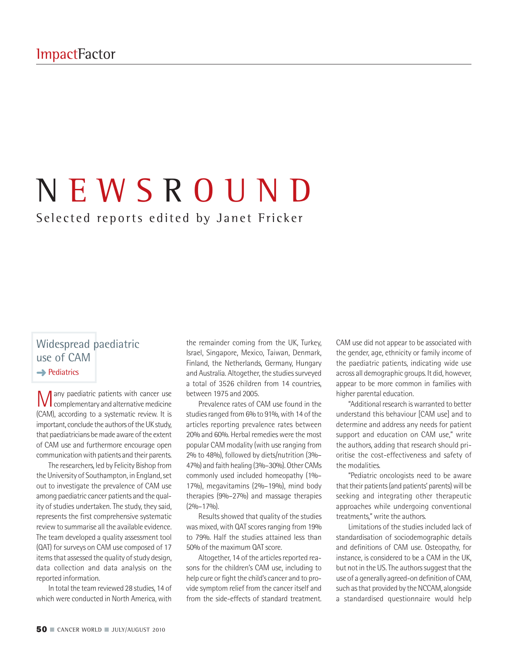# N E W S R O U N D

# Selected reports edited by Janet Fricker

#### Widespread paediatric use of CAM **→** Pediatrics

**M** any paediatric patients with cancer use<br>complementary and alternative medicine (CAM), according to a systematic review. It is important, conclude the authors of the UK study, that paediatricians be made aware of the extent of CAM use and furthermore encourage open communication with patients and their parents.

The researchers, led by Felicity Bishop from the University of Southampton, in England, set out to investigate the prevalence of CAM use among paediatric cancer patients and the quality of studies undertaken.The study, they said, represents the first comprehensive systematic review to summarise all the available evidence. The team developed a quality assessment tool (QAT) for surveys on CAM use composed of 17 items that assessed the quality of study design, data collection and data analysis on the reported information.

In total the team reviewed 28 studies, 14 of which were conducted in North America, with

the remainder coming from the UK, Turkey, Israel, Singapore, Mexico, Taiwan, Denmark, Finland, the Netherlands, Germany, Hungary and Australia. Altogether, the studies surveyed a total of 3526 children from 14 countries, between 1975 and 2005.

Prevalence rates of CAM use found in the studies ranged from 6% to 91%, with 14 of the articles reporting prevalence rates between 20% and 60%. Herbal remedies were the most popular CAM modality (with use ranging from 2% to 48%), followed by diets/nutrition (3%– 47%) and faith healing (3%-30%). Other CAMs commonly used included homeopathy (1%– 17%), megavitamins (2%–19%), mind body therapies (9%–27%) and massage therapies (2%–17%).

Results showed that quality of the studies was mixed, with QAT scores ranging from 19% to 79%. Half the studies attained less than 50% of the maximum QAT score.

Altogether, 14 of the articles reported reasons for the children's CAM use, including to help cure or fight the child's cancer and to provide symptom relief from the cancer itself and from the side-effects of standard treatment.

CAM use did not appear to be associated with the gender, age, ethnicity or family income of the paediatric patients, indicating wide use across all demographic groups. It did, however, appear to be more common in families with higher parental education.

"Additional research is warranted to better understand this behaviour [CAM use] and to determine and address any needs for patient support and education on CAM use," write the authors, adding that research should prioritise the cost-effectiveness and safety of the modalities.

"Pediatric oncologists need to be aware that their patients (and patients' parents) will be seeking and integrating other therapeutic approaches while undergoing conventional treatments," write the authors.

Limitations of the studies included lack of standardisation of sociodemographic details and definitions of CAM use. Osteopathy, for instance, is considered to be a CAM in the UK, but not in the US. The authors suggest that the use of a generally agreed-on definition of CAM, such as that provided by the NCCAM, alongside a standardised questionnaire would help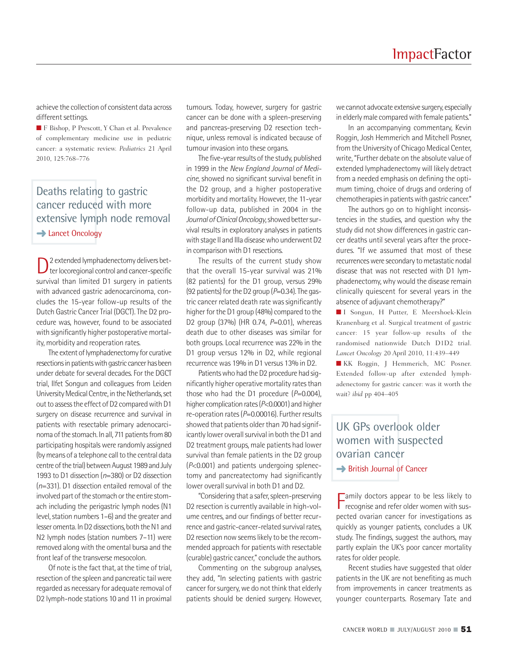achieve the collection of consistent data across different settings.

■ **F** Bishop, P Prescott, Y Chan et al. Prevalence of complementary medicine use in pediatric cancer: a systematic review. *Pediatrics* 21 April 2010, 125:768–776

# Deaths relating to gastric cancer reduced with more extensive lymph node removal **→ Lancet Oncology**

D<sup>2</sup> extended lymphadenectomy delivers bet-<br>ter locoregional control and cancer-specific survival than limited D1 surgery in patients with advanced gastric adenocarcinoma, concludes the 15-year follow-up results of the Dutch Gastric Cancer Trial (DGCT). The D2 procedure was, however, found to be associated with significantly higher postoperative mortality, morbidity and reoperation rates.

The extent of lymphadenectomy for curative resections in patients with gastric cancer has been under debate for several decades.For the DGCT trial, Ilfet Songun and colleagues from Leiden University Medical Centre, in the Netherlands, set out to assess the effect of D2 compared with D1 surgery on disease recurrence and survival in patients with resectable primary adenocarcinoma of the stomach. In all, 711 patients from 80 participating hospitals were randomly assigned (by means of a telephone call to the central data centre of the trial) between August 1989 and July 1993 to D1 dissection (*n*=380) or D2 dissection (*n*=331). D1 dissection entailed removal of the involved part of the stomach or the entire stomach including the perigastric lymph nodes (N1 level, station numbers 1–6) and the greater and lesser omenta. In D2 dissections, both the N1 and N2 lymph nodes (station numbers 7–11) were removed along with the omental bursa and the front leaf of the transverse mesocolon.

Of note isthe fact that, at the time of trial, resection of the spleen and pancreatic tail were regarded as necessary for adequate removal of D2 lymph-node stations 10 and 11 in proximal

tumours. Today, however, surgery for gastric cancer can be done with a spleen-preserving and pancreas-preserving D2 resection technique, unless removal is indicated because of tumour invasion into these organs.

The five-year results of the study, published in 1999 in the *New England Journal of Medicine*, showed no significant survival benefit in the D2 group, and a higher postoperative morbidity and mortality. However, the 11-year follow-up data, published in 2004 in the *Journal ofClinicalOncology*,showed bettersurvival results in exploratory analyses in patients with stage II and IIIa disease who underwent D2 in comparison with D1 resections.

The results of the current study show that the overall 15-year survival was 21% (82 patients) for the D1 group, versus 29% (92 patients) for the D2 group ( $P=0.34$ ). The gastric cancer related death rate was significantly higher for the D1 group (48%) compared to the D2 group (37%) (HR 0.74, *P*=0.01), whereas death due to other diseases was similar for both groups. Local recurrence was 22% in the D1 group versus 12% in D2, while regional recurrence was 19% in D1 versus 13% in D2.

Patients who had the D2 procedure had significantly higher operative mortality rates than those who had the D1 procedure  $(P=0.004)$ , higher complication rates(*P*<0.0001) and higher re-operation rates (P=0.00016). Further results showed that patients older than 70 had significantly lower overall survival in both the D1 and D2 treatment groups, male patients had lower survival than female patients in the D2 group (*P*<0.001) and patients undergoing splenectomy and pancreatectomy had significantly lower overall survival in both D1 and D2.

"Considering that a safer, spleen-preserving D2 resection is currently available in high-volume centres, and our findings of better recurrence and gastric-cancer-related survival rates, D2 resection now seems likely to be the recommended approach for patients with resectable (curable) gastric cancer," conclude the authors.

Commenting on the subgroup analyses, they add, "In selecting patients with gastric cancer for surgery, we do not think that elderly patients should be denied surgery. However,

we cannot advocate extensive surgery, especially in elderly male compared with female patients."

In an accompanying commentary, Kevin Roggin, Josh Hemmerich and Mitchell Posner, from the University of Chicago Medical Center, write,"Further debate on the absolute value of extended lymphadenectomy will likely detract from a needed emphasis on defining the optimum timing, choice of drugs and ordering of chemotherapies in patients with gastric cancer."

The authors go on to highlight inconsistencies in the studies, and question why the study did not show differences in gastric cancer deaths until several years after the procedures. "If we assumed that most of these recurrences were secondary to metastatic nodal disease that was not resected with D1 lymphadenectomy, why would the disease remain clinically quiescent for several years in the absence of adjuvant chemotherapy?"

**■** I Songun, H Putter, E Meershoek-Klein Kranenbarg et al. Surgical treatment of gastric cancer: 15 year follow-up results of the randomised nationwide Dutch D1D2 trial. *Lancet Oncology* 20 April 2010, 11:439–449

**■** KK Roggin, J Hemmerich, MC Posner. Extended follow-up after extended lymphadenectomy for gastric cancer: was it worth the wait? *ibid* pp 404–405

# UK GPs overlook older women with suspected ovarian cancer **→** British Journal of Cancer

**F** amily doctors appear to be less likely to recognise and refer older women with sus-**Tamily doctors appear to be less likely to** pected ovarian cancer for investigations as quickly as younger patients, concludes a UK study. The findings, suggest the authors, may partly explain the UK's poor cancer mortality rates for older people.

Recent studies have suggested that older patients in the UK are not benefiting as much from improvements in cancer treatments as younger counterparts. Rosemary Tate and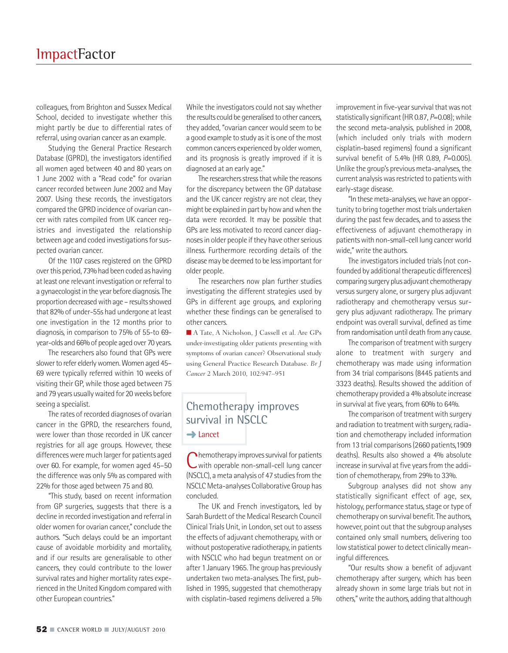colleagues, from Brighton and Sussex Medical School, decided to investigate whether this might partly be due to differential rates of referral, using ovarian cancer as an example.

Studying the General Practice Research Database (GPRD), the investigators identified all women aged between 40 and 80 years on 1 June 2002 with a "Read code" for ovarian cancer recorded between June 2002 and May 2007. Using these records, the investigators compared the GPRD incidence of ovarian cancer with rates compiled from UK cancer registries and investigated the relationship between age and coded investigations for suspected ovarian cancer.

Of the 1107 cases registered on the GPRD over this period, 73% had been coded as having at least one relevant investigation or referral to a gynaecologist in the year before diagnosis. The proportion decreased with age - results showed that 82% of under-55s had undergone at least one investigation in the 12 months prior to diagnosis, in comparison to 75% of 55-to 69 year-olds and 66% of people aged over 70 years.

The researchers also found that GPs were slower to refer elderly women. Women aged 45-69 were typically referred within 10 weeks of visiting their GP, while those aged between 75 and 79 years usually waited for 20 weeks before seeing a specialist.

The rates of recorded diagnoses of ovarian cancer in the GPRD, the researchers found, were lower than those recorded in UK cancer registries for all age groups. However, these differences were much larger for patients aged over 60. For example, for women aged 45–50 the difference was only 5% as compared with 22% for those aged between 75 and 80.

"This study, based on recent information from GP surgeries, suggests that there is a decline in recorded investigation and referral in olderwomen for ovarian cancer," conclude the authors. "Such delays could be an important cause of avoidable morbidity and mortality, and if our results are generalisable to other cancers, they could contribute to the lower survival rates and higher mortality rates experienced in the United Kingdom compared with other European countries."

While the investigators could not say whether the results could be generalised to other cancers, they added, "ovarian cancer would seem to be a good example to study as it is one of the most common cancers experienced by older women, and its prognosis is greatly improved if it is diagnosed at an early age."

The researchers stress that while the reasons for the discrepancy between the GP database and the UK cancer registry are not clear, they might be explained in part by how and when the data were recorded. It may be possible that GPs are less motivated to record cancer diagnoses in older people if they have other serious illness. Furthermore recording details of the disease may be deemed to be less important for older people.

The researchers now plan further studies investigating the different strategies used by GPs in different age groups, and exploring whether these findings can be generalised to other cancers.

■ A Tate, A Nicholson, J Cassell et al. Are GPs under-investigating older patients presenting with symptoms of ovarian cancer? Observational study using General Practice Research Database. *Br J Cancer* 2 March 2010, 102:947–951

### Chemotherapy improves survival in NSCLC **➜**Lancet

Chemotherapy improves survival for patients<br>with operable non-small-cell lung cancer (NSCLC), a meta analysis of 47 studies from the NSCLCMeta-analyses Collaborative Group has concluded.

The UK and French investigators, led by Sarah Burdett of the Medical Research Council ClinicalTrials Unit, in London, set out to assess the effects of adjuvant chemotherapy, with or without postoperative radiotherapy, in patients with NSCLC who had begun treatment on or after 1 January 1965.The group has previously undertaken two meta-analyses.The first, published in 1995, suggested that chemotherapy with cisplatin-based regimens delivered a 5%

improvement in five-year survival that was not statistically significant (HR 0.87, *P*=0.08); while the second meta-analysis, published in 2008, (which included only trials with modern cisplatin-based regimens) found a significant survival benefit of 5.4% (HR 0.89, *P*=0.005). Unlike the group's previous meta-analyses, the current analysis was restricted to patients with early-stage disease.

"In these meta-analyses, we have an opportunity to bring together most trials undertaken during the past few decades, and to assess the effectiveness of adjuvant chemotherapy in patients with non-small-cell lung cancer world wide," write the authors.

The investigators included trials (not confounded by additional therapeutic differences) comparing surgery plus adjuvant chemotherapy versus surgery alone, or surgery plus adjuvant radiotherapy and chemotherapy versus surgery plus adjuvant radiotherapy. The primary endpoint was overall survival, defined as time from randomisation until death from any cause.

The comparison of treatment with surgery alone to treatment with surgery and chemotherapy was made using information from 34 trial comparisons (8445 patients and 3323 deaths). Results showed the addition of chemotherapy provided a 4% absolute increase in survival at five years, from 60% to 64%.

The comparison of treatment with surgery and radiation to treatment with surgery, radiation and chemotherapy included information from 13 trial comparisons(2660 patients,1909 deaths). Results also showed a 4% absolute increase in survival at five years from the addition of chemotherapy, from 29% to 33%.

Subgroup analyses did not show any statistically significant effect of age, sex, histology, performance status, stage or type of chemotherapy on survival benefit.The authors, however, point out that the subgroup analyses contained only small numbers, delivering too low statistical power to detect clinically meaningful differences.

"Our results show a benefit of adjuvant chemotherapy after surgery, which has been already shown in some large trials but not in others,"write the authors, adding that although